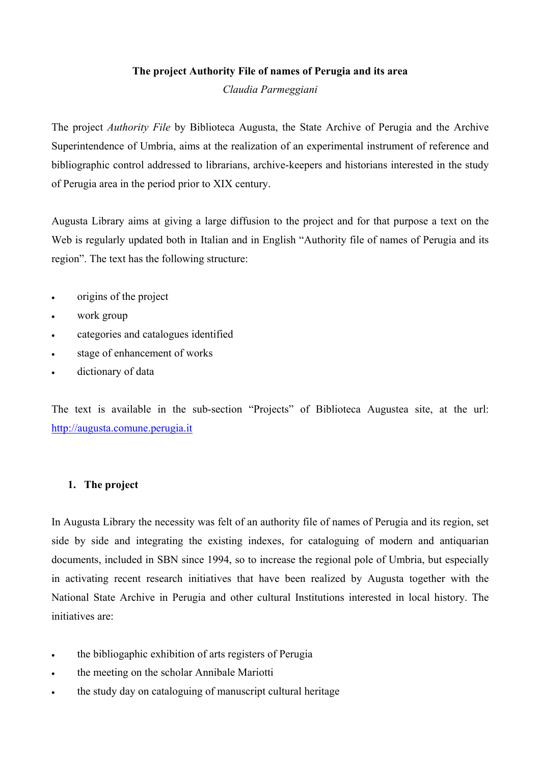### **The project Authority File of names of Perugia and its area**

*Claudia Parmeggiani* 

The project *Authority File* by Biblioteca Augusta, the State Archive of Perugia and the Archive Superintendence of Umbria, aims at the realization of an experimental instrument of reference and bibliographic control addressed to librarians, archive-keepers and historians interested in the study of Perugia area in the period prior to XIX century.

Augusta Library aims at giving a large diffusion to the project and for that purpose a text on the Web is regularly updated both in Italian and in English "Authority file of names of Perugia and its region". The text has the following structure:

- origins of the project
- work group
- categories and catalogues identified
- stage of enhancement of works
- dictionary of data

The text is available in the sub-section "Projects" of Biblioteca Augustea site, at the url: [http://augusta.comune.perugia.it](http://augusta.comune.perugia.it/)

# **1. The project**

In Augusta Library the necessity was felt of an authority file of names of Perugia and its region, set side by side and integrating the existing indexes, for cataloguing of modern and antiquarian documents, included in SBN since 1994, so to increase the regional pole of Umbria, but especially in activating recent research initiatives that have been realized by Augusta together with the National State Archive in Perugia and other cultural Institutions interested in local history. The initiatives are:

- the bibliogaphic exhibition of arts registers of Perugia
- the meeting on the scholar Annibale Mariotti
- the study day on cataloguing of manuscript cultural heritage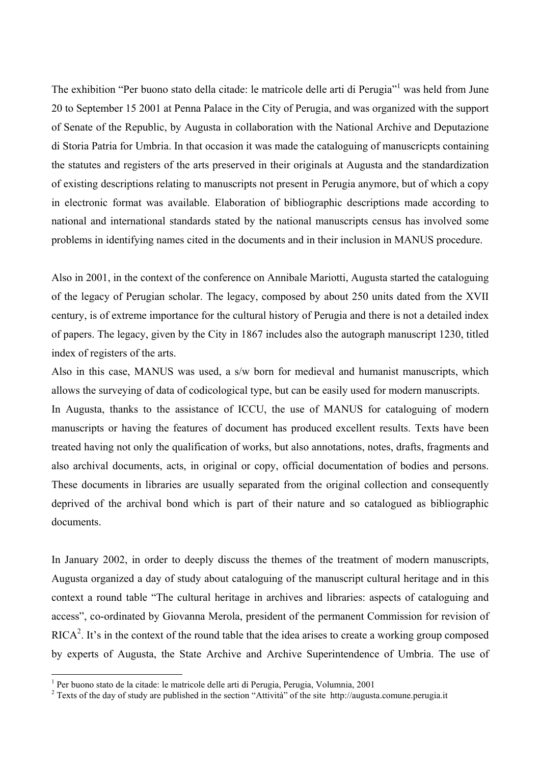The exhibition "Per buono stato della citade: le matricole delle arti di Perugia"<sup>1</sup> was held from June 20 to September 15 2001 at Penna Palace in the City of Perugia, and was organized with the support of Senate of the Republic, by Augusta in collaboration with the National Archive and Deputazione di Storia Patria for Umbria. In that occasion it was made the cataloguing of manuscricpts containing the statutes and registers of the arts preserved in their originals at Augusta and the standardization of existing descriptions relating to manuscripts not present in Perugia anymore, but of which a copy in electronic format was available. Elaboration of bibliographic descriptions made according to national and international standards stated by the national manuscripts census has involved some problems in identifying names cited in the documents and in their inclusion in MANUS procedure.

Also in 2001, in the context of the conference on Annibale Mariotti, Augusta started the cataloguing of the legacy of Perugian scholar. The legacy, composed by about 250 units dated from the XVII century, is of extreme importance for the cultural history of Perugia and there is not a detailed index of papers. The legacy, given by the City in 1867 includes also the autograph manuscript 1230, titled index of registers of the arts.

Also in this case, MANUS was used, a s/w born for medieval and humanist manuscripts, which allows the surveying of data of codicological type, but can be easily used for modern manuscripts. In Augusta, thanks to the assistance of ICCU, the use of MANUS for cataloguing of modern manuscripts or having the features of document has produced excellent results. Texts have been treated having not only the qualification of works, but also annotations, notes, drafts, fragments and also archival documents, acts, in original or copy, official documentation of bodies and persons. These documents in libraries are usually separated from the original collection and consequently deprived of the archival bond which is part of their nature and so catalogued as bibliographic documents.

In January 2002, in order to deeply discuss the themes of the treatment of modern manuscripts, Augusta organized a day of study about cataloguing of the manuscript cultural heritage and in this context a round table "The cultural heritage in archives and libraries: aspects of cataloguing and access", co-ordinated by Giovanna Merola, president of the permanent Commission for revision of RICA<sup>[2](#page-1-1)</sup>. It's in the context of the round table that the idea arises to create a working group composed by experts of Augusta, the State Archive and Archive Superintendence of Umbria. The use of

 $\overline{a}$ 

<span id="page-1-0"></span><sup>&</sup>lt;sup>1</sup> Per buono stato de la citade: le matricole delle arti di Perugia, Perugia, Volumnia, 2001

<span id="page-1-1"></span><sup>&</sup>lt;sup>2</sup> Texts of the day of study are published in the section "Attività" of the site http://augusta.comune.perugia.it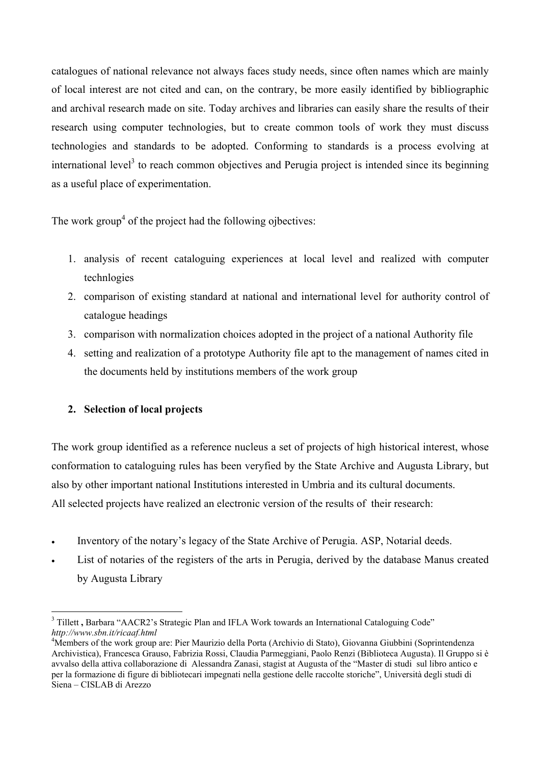catalogues of national relevance not always faces study needs, since often names which are mainly of local interest are not cited and can, on the contrary, be more easily identified by bibliographic and archival research made on site. Today archives and libraries can easily share the results of their research using computer technologies, but to create common tools of work they must discuss technologies and standards to be adopted. Conforming to standards is a process evolving at international level<sup>[3](#page-2-0)</sup> to reach common objectives and Perugia project is intended since its beginning as a useful place of experimentation.

The work group<sup>4</sup> of the project had the following ojbectives:

- 1. analysis of recent cataloguing experiences at local level and realized with computer technlogies
- 2. comparison of existing standard at national and international level for authority control of catalogue headings
- 3. comparison with normalization choices adopted in the project of a national Authority file
- 4. setting and realization of a prototype Authority file apt to the management of names cited in the documents held by institutions members of the work group

# **2. Selection of local projects**

The work group identified as a reference nucleus a set of projects of high historical interest, whose conformation to cataloguing rules has been veryfied by the State Archive and Augusta Library, but also by other important national Institutions interested in Umbria and its cultural documents. All selected projects have realized an electronic version of the results of their research:

- Inventory of the notary's legacy of the State Archive of Perugia. ASP, Notarial deeds.
- List of notaries of the registers of the arts in Perugia, derived by the database Manus created by Augusta Library

<span id="page-2-0"></span> $\overline{a}$ <sup>3</sup> Tillett, Barbara "AACR2's Strategic Plan and IFLA Work towards an International Cataloguing Code" *http://www.sbn.it/ricaaf.html*

<span id="page-2-1"></span><sup>4</sup> Members of the work group are: Pier Maurizio della Porta (Archivio di Stato), Giovanna Giubbini (Soprintendenza Archivistica), Francesca Grauso, Fabrizia Rossi, Claudia Parmeggiani, Paolo Renzi (Biblioteca Augusta). Il Gruppo si è avvalso della attiva collaborazione di Alessandra Zanasi, stagist at Augusta of the "Master di studi sul libro antico e per la formazione di figure di bibliotecari impegnati nella gestione delle raccolte storiche", Università degli studi di Siena – CISLAB di Arezzo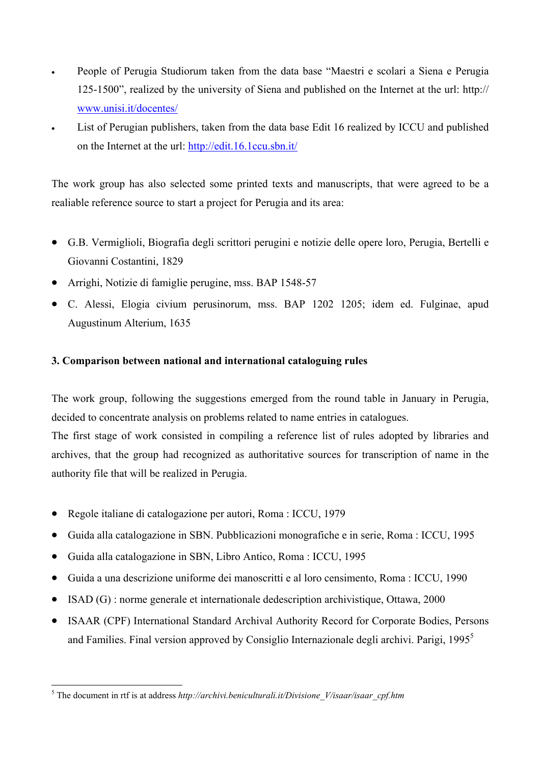- People of Perugia Studiorum taken from the data base "Maestri e scolari a Siena e Perugia 125-1500", realized by the university of Siena and published on the Internet at the url: http:// [www.unisi.it/docentes/](http://www.unisi.it/docentes/)
- List of Perugian publishers, taken from the data base Edit 16 realized by ICCU and published on the Internet at the url: [http://edit.16.1ccu.sbn.it/](http://edit.16.1ccu.sbn.iy/)

The work group has also selected some printed texts and manuscripts, that were agreed to be a realiable reference source to start a project for Perugia and its area:

- G.B. Vermiglioli, Biografia degli scrittori perugini e notizie delle opere loro, Perugia, Bertelli e Giovanni Costantini, 1829
- Arrighi, Notizie di famiglie perugine, mss. BAP 1548-57
- C. Alessi, Elogia civium perusinorum, mss. BAP 1202 1205; idem ed. Fulginae, apud Augustinum Alterium, 1635

# **3. Comparison between national and international cataloguing rules**

The work group, following the suggestions emerged from the round table in January in Perugia, decided to concentrate analysis on problems related to name entries in catalogues. The first stage of work consisted in compiling a reference list of rules adopted by libraries and archives, that the group had recognized as authoritative sources for transcription of name in the

- authority file that will be realized in Perugia.
- Regole italiane di catalogazione per autori, Roma : ICCU, 1979
- Guida alla catalogazione in SBN. Pubblicazioni monografiche e in serie, Roma : ICCU, 1995
- Guida alla catalogazione in SBN, Libro Antico, Roma : ICCU, 1995
- Guida a una descrizione uniforme dei manoscritti e al loro censimento, Roma : ICCU, 1990
- ISAD (G) : norme generale et internationale dedescription archivistique, Ottawa, 2000
- ISAAR (CPF) International Standard Archival Authority Record for Corporate Bodies, Persons and Families. Final version approved by Consiglio Internazionale degli archivi. Parigi,  $1995<sup>5</sup>$  $1995<sup>5</sup>$  $1995<sup>5</sup>$

<span id="page-3-0"></span> $\overline{a}$ <sup>5</sup> The document in rtf is at address *http://archivi.beniculturali.it/Divisione V/isaar/isaar cpf.htm*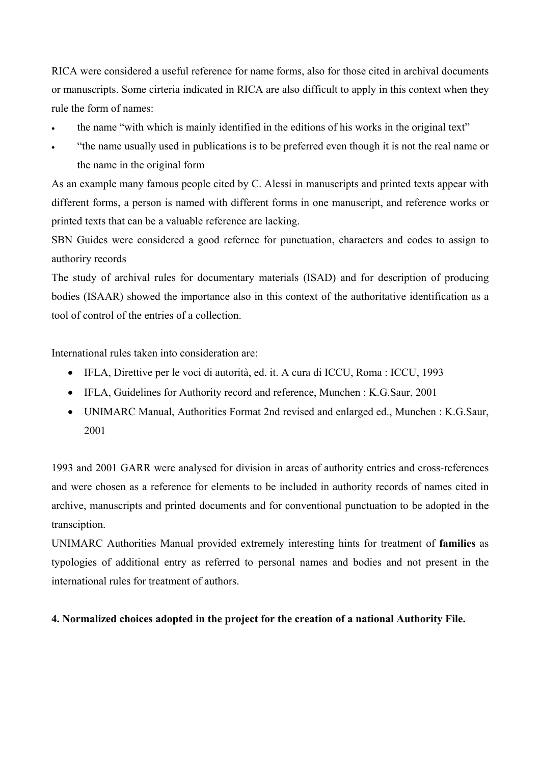RICA were considered a useful reference for name forms, also for those cited in archival documents or manuscripts. Some cirteria indicated in RICA are also difficult to apply in this context when they rule the form of names:

- the name "with which is mainly identified in the editions of his works in the original text"
- "the name usually used in publications is to be preferred even though it is not the real name or the name in the original form

As an example many famous people cited by C. Alessi in manuscripts and printed texts appear with different forms, a person is named with different forms in one manuscript, and reference works or printed texts that can be a valuable reference are lacking.

SBN Guides were considered a good refernce for punctuation, characters and codes to assign to authoriry records

The study of archival rules for documentary materials (ISAD) and for description of producing bodies (ISAAR) showed the importance also in this context of the authoritative identification as a tool of control of the entries of a collection.

International rules taken into consideration are:

- IFLA, Direttive per le voci di autorità, ed. it. A cura di ICCU, Roma : ICCU, 1993
- IFLA, Guidelines for Authority record and reference, Munchen : K.G.Saur, 2001
- UNIMARC Manual, Authorities Format 2nd revised and enlarged ed., Munchen : K.G.Saur, 2001

1993 and 2001 GARR were analysed for division in areas of authority entries and cross-references and were chosen as a reference for elements to be included in authority records of names cited in archive, manuscripts and printed documents and for conventional punctuation to be adopted in the transciption.

UNIMARC Authorities Manual provided extremely interesting hints for treatment of **families** as typologies of additional entry as referred to personal names and bodies and not present in the international rules for treatment of authors.

### **4. Normalized choices adopted in the project for the creation of a national Authority File.**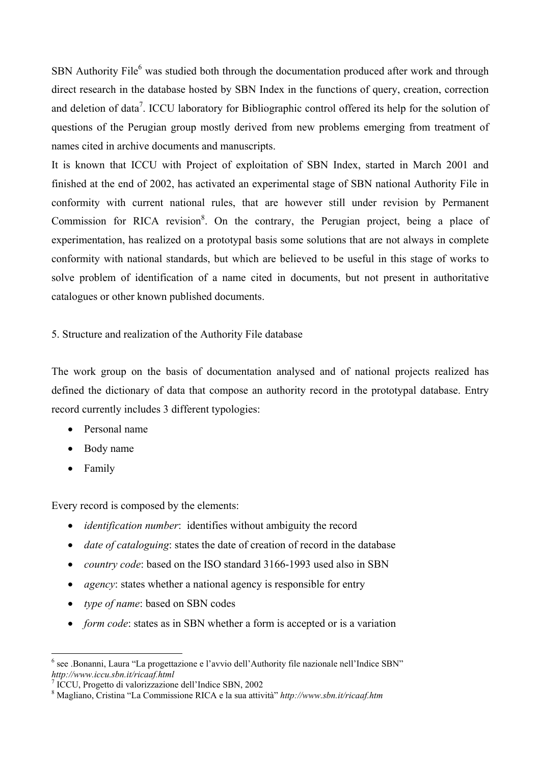SBN Authority File<sup>6</sup> [w](#page-5-0)as studied both through the documentation produced after work and through direct research in the database hosted by SBN Index in the functions of query, creation, correction and deletion of data<sup>[7](#page-5-1)</sup>. ICCU laboratory for Bibliographic control offered its help for the solution of questions of the Perugian group mostly derived from new problems emerging from treatment of names cited in archive documents and manuscripts.

It is known that ICCU with Project of exploitation of SBN Index, started in March 2001 and finished at the end of 2002, has activated an experimental stage of SBN national Authority File in conformity with current national rules, that are however still under revision by Permanent Commission for RICA revision<sup>[8](#page-5-2)</sup>. On the contrary, the Perugian project, being a place of experimentation, has realized on a prototypal basis some solutions that are not always in complete conformity with national standards, but which are believed to be useful in this stage of works to solve problem of identification of a name cited in documents, but not present in authoritative catalogues or other known published documents.

5. Structure and realization of the Authority File database

The work group on the basis of documentation analysed and of national projects realized has defined the dictionary of data that compose an authority record in the prototypal database. Entry record currently includes 3 different typologies:

- Personal name
- Body name
- Family

Every record is composed by the elements:

- *identification number*: identifies without ambiguity the record
- *date of cataloguing*: states the date of creation of record in the database
- *country code*: based on the ISO standard 3166-1993 used also in SBN
- *agency*: states whether a national agency is responsible for entry
- *type of name*: based on SBN codes
- *form code*: states as in SBN whether a form is accepted or is a variation

<span id="page-5-0"></span> $\overline{a}$ <sup>6</sup> see .Bonanni, Laura "La progettazione e l'avvio dell'Authority file nazionale nell'Indice SBN" *http://www.iccu.sbn.it/ricaaf.html*

<span id="page-5-1"></span><sup>7</sup> ICCU, Progetto di valorizzazione dell'Indice SBN, 2002

<span id="page-5-2"></span>Magliano, Cristina "La Commissione RICA e la sua attività" *http://www.sbn.it/ricaaf.htm*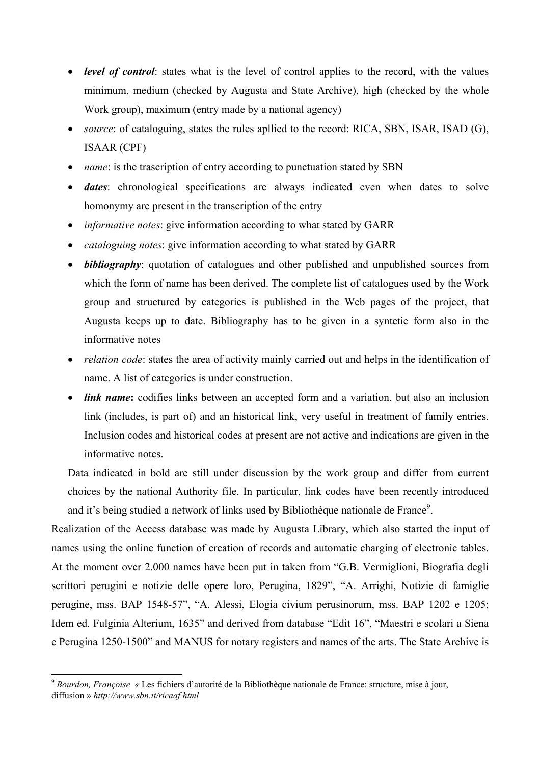- *level of control*: states what is the level of control applies to the record, with the values minimum, medium (checked by Augusta and State Archive), high (checked by the whole Work group), maximum (entry made by a national agency)
- *source*: of cataloguing, states the rules apllied to the record: RICA, SBN, ISAR, ISAD (G), ISAAR (CPF)
- *name*: is the trascription of entry according to punctuation stated by SBN
- *dates*: chronological specifications are always indicated even when dates to solve homonymy are present in the transcription of the entry
- *informative notes*: give information according to what stated by GARR
- *cataloguing notes*: give information according to what stated by GARR
- *bibliography*: quotation of catalogues and other published and unpublished sources from which the form of name has been derived. The complete list of catalogues used by the Work group and structured by categories is published in the Web pages of the project, that Augusta keeps up to date. Bibliography has to be given in a syntetic form also in the informative notes
- *relation code*: states the area of activity mainly carried out and helps in the identification of name. A list of categories is under construction.
- *link name*: codifies links between an accepted form and a variation, but also an inclusion link (includes, is part of) and an historical link, very useful in treatment of family entries. Inclusion codes and historical codes at present are not active and indications are given in the informative notes.

Data indicated in bold are still under discussion by the work group and differ from current choices by the national Authority file. In particular, link codes have been recently introduced and it's being studied a network of links used by Bibliothèque nationale de France<sup>9</sup>.

Realization of the Access database was made by Augusta Library, which also started the input of names using the online function of creation of records and automatic charging of electronic tables. At the moment over 2.000 names have been put in taken from "G.B. Vermiglioni, Biografia degli scrittori perugini e notizie delle opere loro, Perugina, 1829", "A. Arrighi, Notizie di famiglie perugine, mss. BAP 1548-57", "A. Alessi, Elogia civium perusinorum, mss. BAP 1202 e 1205; Idem ed. Fulginia Alterium, 1635" and derived from database "Edit 16", "Maestri e scolari a Siena e Perugina 1250-1500" and MANUS for notary registers and names of the arts. The State Archive is

 $\overline{a}$ 

<span id="page-6-0"></span><sup>9</sup> *Bourdon, Françoise «* Les fichiers d'autorité de la Bibliothèque nationale de France: structure, mise à jour, diffusion » *http://www.sbn.it/ricaaf.html*